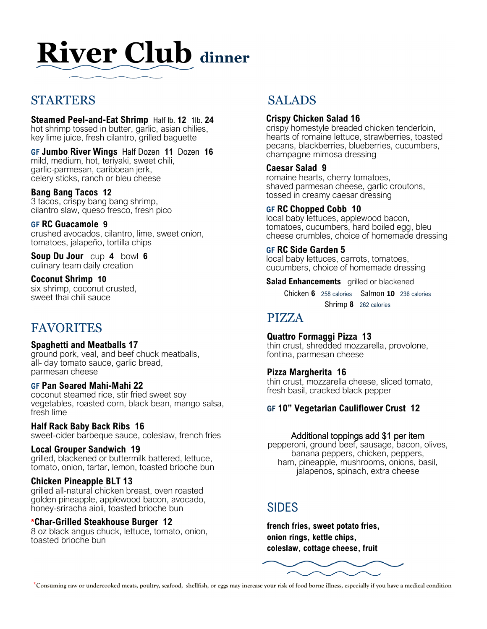## **River Club dinner**

## STARTERS

**Steamed Peel-and-Eat Shrimp** Half lb. **12** 1lb. **24**  hot shrimp tossed in butter, garlic, asian chilies, key lime juice, fresh cilantro, grilled baguette

**GF Jumbo River Wings** Half Dozen **11** Dozen **16** mild, medium, hot, teriyaki, sweet chili, garlic-parmesan, caribbean jerk, celery sticks, ranch or bleu cheese

**Bang Bang Tacos 12**  3 tacos, crispy bang bang shrimp, cilantro slaw, queso fresco, fresh pico

**GF RC Guacamole 9**  crushed avocados, cilantro, lime, sweet onion, tomatoes, jalapeño, tortilla chips

**Soup Du Jour** cup **4** bowl **6** culinary team daily creation

**Coconut Shrimp 10**  six shrimp, coconut crusted, sweet thai chili sauce

## FAVORITES

#### **Spaghetti and Meatballs 17**

ground pork, veal, and beef chuck meatballs, all- day tomato sauce, garlic bread, parmesan cheese

#### **GF Pan Seared Mahi-Mahi 22**

coconut steamed rice, stir fried sweet soy vegetables, roasted corn, black bean, mango salsa, fresh lime

#### **Half Rack Baby Back Ribs 16**

sweet-cider barbeque sauce, coleslaw, french fries

#### **Local Grouper Sandwich 19**

grilled, blackened or buttermilk battered, lettuce, tomato, onion, tartar, lemon, toasted brioche bun

#### **Chicken Pineapple BLT 13**

grilled all-natural chicken breast, oven roasted golden pineapple, applewood bacon, avocado, honey-sriracha aioli, toasted brioche bun

#### \***Char-Grilled Steakhouse Burger 12**

8 oz black angus chuck, lettuce, tomato, onion, toasted brioche bun

## SALADS

#### **Crispy Chicken Salad 16**

crispy homestyle breaded chicken tenderloin, hearts of romaine lettuce, strawberries, toasted pecans, blackberries, blueberries, cucumbers, champagne mimosa dressing

#### **Caesar Salad 9**

romaine hearts, cherry tomatoes, shaved parmesan cheese, garlic croutons, tossed in creamy caesar dressing

#### **GF RC Chopped Cobb 10**

local baby lettuces, applewood bacon, tomatoes, cucumbers, hard boiled egg, bleu cheese crumbles, choice of homemade dressing

#### **GF RC Side Garden 5**

local baby lettuces, carrots, tomatoes, cucumbers, choice of homemade dressing

**Salad Enhancements grilled or blackened** 

Chicken **6** 258 calories Salmon **10** 236 calories Shrimp **8** 262 calories

## PIZZA

#### **Quattro Formaggi Pizza 13**

thin crust, shredded mozzarella, provolone, fontina, parmesan cheese

#### **Pizza Margherita 16**

thin crust, mozzarella cheese, sliced tomato, fresh basil, cracked black pepper

#### **GF 10" Vegetarian Cauliflower Crust 12**

#### Additional toppings add \$1 per item

pepperoni, ground beef, sausage, bacon, olives, banana peppers, chicken, peppers, ham, pineapple, mushrooms, onions, basil, jalapenos, spinach, extra cheese

## SIDES

**french fries, sweet potato fries, onion rings, kettle chips, coleslaw, cottage cheese, fruit**



**\*Consuming raw or undercooked meats, poultry, seafood, shellfish, or eggs may increase your risk of food borne illness, especially if you have a medical condition**